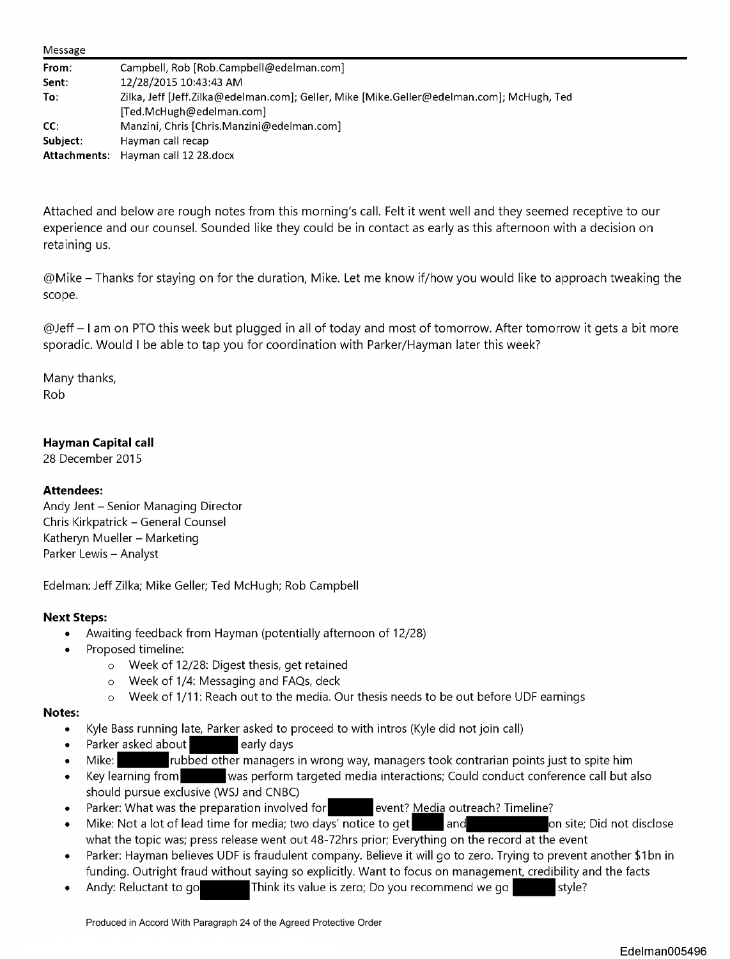| Message      |                                                                                                                       |
|--------------|-----------------------------------------------------------------------------------------------------------------------|
| From:        | Campbell, Rob [Rob.Campbell@edelman.com]                                                                              |
| Sent:        | 12/28/2015 10:43:43 AM                                                                                                |
| To:          | Zilka, Jeff [Jeff.Zilka@edelman.com]; Geller, Mike [Mike.Geller@edelman.com]; McHugh, Ted<br>[Ted.McHugh@edelman.com] |
| CC:          | Manzini, Chris [Chris.Manzini@edelman.com]                                                                            |
| Subject:     | Hayman call recap                                                                                                     |
| Attachments: | Hayman call 12 28.docx                                                                                                |

Attached and below are rough notes from this morning's call. Felt it went well and they seemed receptive to our experience and our counsel. Sounded like they could be in contact as early as this afternoon with a decision on retaining us.

@Mike - Thanks for staying on for the duration, Mike. Let me know if/how you would like to approach tweaking the scope.

@Jeff- I am on PTO this week but plugged in all of today and most of tomorrow. After tomorrow it gets a bit more sporadic. Would I be able to tap you for coordination with Parker/Hayman later this week?

Many thanks, Rob

## **Hayman Capital call**

28 December 2015

### **Attendees:**

Andy Jent - Senior Managing Director Chris Kirkpatrick - General Counsel Katheryn Mueller - Marketing Parker Lewis - Analyst

Edelman: Jeff Zilka; Mike Geller; Ted McHugh; Rob Campbell

### **Next Steps:**

- Awaiting feedback from Hayman (potentially afternoon of 12/28)
- Proposed timeline:
	- o Week of 12/28: Digest thesis, get retained
	- o Week of 1/4: Messaging and FAQs, deck
	- Week of 1/11: Reach out to the media. Our thesis needs to be out before UDF earnings

### **Notes:**

- Kyle Bass running late, Parker asked to proceed to with intros (Kyle did not join call)
- Parker asked about **Fig. 2** early days
- Mike: rubbed other managers in wrong way, managers took contrarian points just to spite him
- Key learning from was perform targeted media interactions; Could conduct conference call but also should pursue exclusive (WSJ and CNBC)
- 
- Parker: What was the preparation involved for event? Media outreach? Timeline?<br>Mike: Not a lot of lead time for media; two days' notice to get and and and and on site; Did not disclose • Mike: Not a lot of lead time for media; two days' notice to get what the topic was; press release went out 48-72hrs prior; Everything on the record at the event
- Parker: Hayman believes UDF is fraudulent company. Believe it will go to zero. Trying to prevent another \$1bn in funding. Outright fraud without saying so explicitly. Want to focus on management, credibility and the facts
- Andy: Reluctant to go**th the Studio Think its value is zero**; Do you recommend we go style?